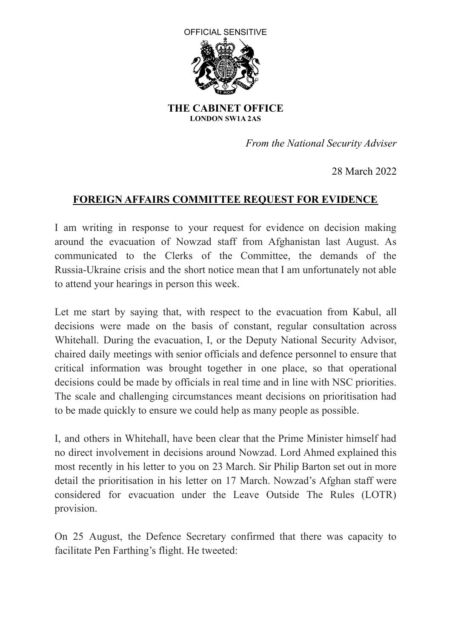

 **THE CABINET OFFICE LONDON SW1A 2AS**

 *From the National Security Adviser*

28 March 2022

## **FOREIGN AFFAIRS COMMITTEE REQUEST FOR EVIDENCE**

 to attend your hearings in person this week. I am writing in response to your request for evidence on decision making around the evacuation of Nowzad staff from Afghanistan last August. As communicated to the Clerks of the Committee, the demands of the Russia-Ukraine crisis and the short notice mean that I am unfortunately not able

 to be made quickly to ensure we could help as many people as possible. Let me start by saying that, with respect to the evacuation from Kabul, all decisions were made on the basis of constant, regular consultation across Whitehall. During the evacuation, I, or the Deputy National Security Advisor, chaired daily meetings with senior officials and defence personnel to ensure that critical information was brought together in one place, so that operational decisions could be made by officials in real time and in line with NSC priorities. The scale and challenging circumstances meant decisions on prioritisation had

I, and others in Whitehall, have been clear that the Prime Minister himself had no direct involvement in decisions around Nowzad. Lord Ahmed explained this most recently in his letter to you on 23 March. Sir Philip Barton set out in more detail the prioritisation in his letter on 17 March. Nowzad's Afghan staff were considered for evacuation under the Leave Outside The Rules (LOTR) provision.

 facilitate Pen Farthing's flight. He tweeted:On 25 August, the Defence Secretary confirmed that there was capacity to